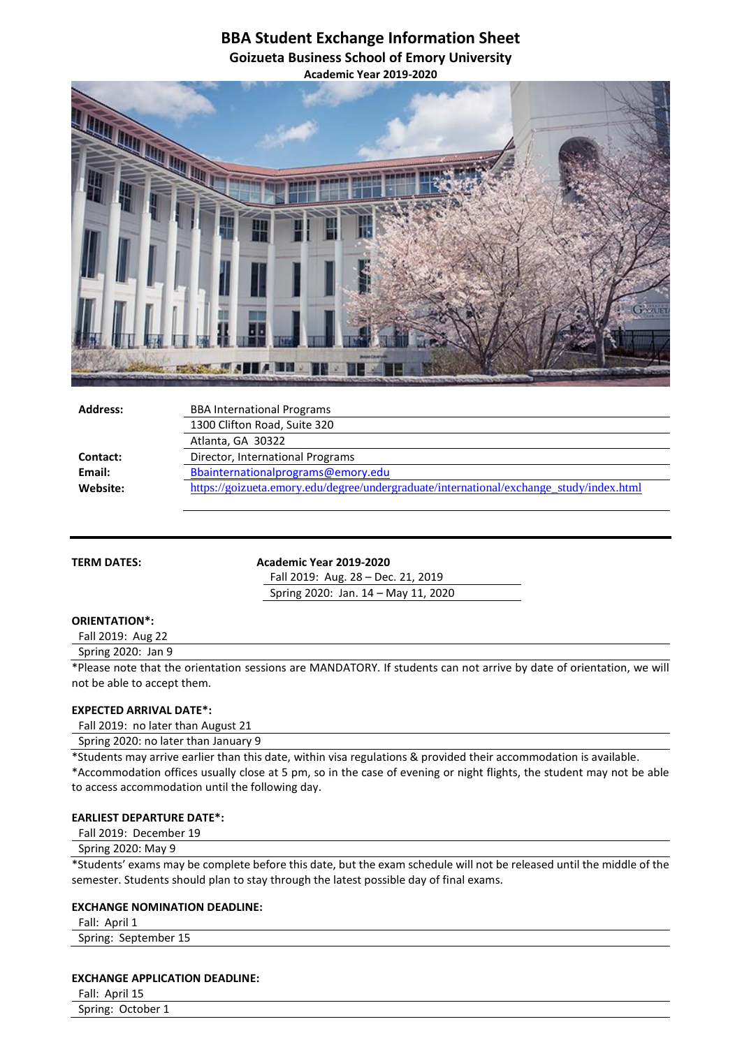# **BBA Student Exchange Information Sheet Goizueta Business School of Emory University Academic Year 2019-2020**



| <b>Address:</b> | <b>BBA International Programs</b>                                                       |
|-----------------|-----------------------------------------------------------------------------------------|
|                 | 1300 Clifton Road, Suite 320                                                            |
|                 | Atlanta, GA 30322                                                                       |
| Contact:        | Director, International Programs                                                        |
| Email:          | Bbainternationalprograms@emory.edu                                                      |
| Website:        | https://goizueta.emory.edu/degree/undergraduate/international/exchange_study/index.html |
|                 |                                                                                         |

**TERM DATES:** Academic Year 2019-2020

Fall 2019: Aug. 28 – Dec. 21, 2019 Spring 2020: Jan. 14 – May 11, 2020

# **ORIENTATION\*:**

Fall 2019: Aug 22

Spring 2020: Jan 9

\*Please note that the orientation sessions are MANDATORY. If students can not arrive by date of orientation, we will not be able to accept them.

## **EXPECTED ARRIVAL DATE\*:**

Fall 2019: no later than August 21

Spring 2020: no later than January 9

\*Students may arrive earlier than this date, within visa regulations & provided their accommodation is available.

\*Accommodation offices usually close at 5 pm, so in the case of evening or night flights, the student may not be able to access accommodation until the following day.

## **EARLIEST DEPARTURE DATE\*:**

Fall 2019: December 19

Spring 2020: May 9

\*Students' exams may be complete before this date, but the exam schedule will not be released until the middle of the semester. Students should plan to stay through the latest possible day of final exams.

## **EXCHANGE NOMINATION DEADLINE:**

Fall: April 1 Spring: September 15

#### **EXCHANGE APPLICATION DEADLINE:**

Fall: April 15 Spring: October 1